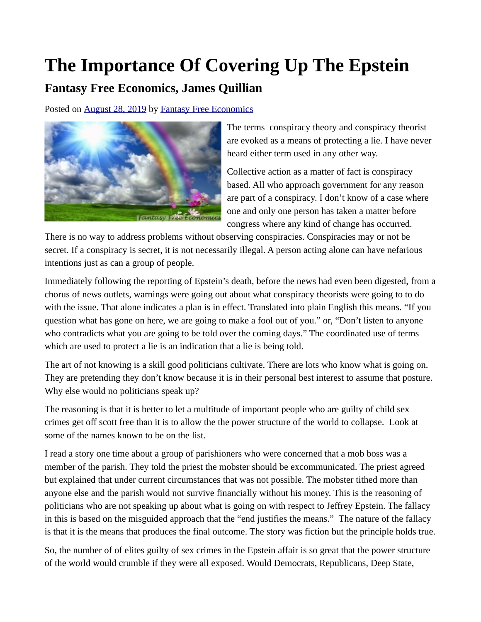## **The Importance Of Covering Up The Epstein**

## **Fantasy Free Economics, James Quillian**

Posted on [August 28, 2019](http://quillian.net/blog/?p=6624) by [Fantasy Free Economics](http://quillian.net/blog/author/james-quillian/)



The terms conspiracy theory and conspiracy theorist are evoked as a means of protecting a lie. I have never heard either term used in any other way.

Collective action as a matter of fact is conspiracy based. All who approach government for any reason are part of a conspiracy. I don't know of a case where one and only one person has taken a matter before congress where any kind of change has occurred.

There is no way to address problems without observing conspiracies. Conspiracies may or not be secret. If a conspiracy is secret, it is not necessarily illegal. A person acting alone can have nefarious intentions just as can a group of people.

Immediately following the reporting of Epstein's death, before the news had even been digested, from a chorus of news outlets, warnings were going out about what conspiracy theorists were going to to do with the issue. That alone indicates a plan is in effect. Translated into plain English this means. "If you question what has gone on here, we are going to make a fool out of you." or, "Don't listen to anyone who contradicts what you are going to be told over the coming days." The coordinated use of terms which are used to protect a lie is an indication that a lie is being told.

The art of not knowing is a skill good politicians cultivate. There are lots who know what is going on. They are pretending they don't know because it is in their personal best interest to assume that posture. Why else would no politicians speak up?

The reasoning is that it is better to let a multitude of important people who are guilty of child sex crimes get off scott free than it is to allow the the power structure of the world to collapse. Look at some of the names known to be on the list.

I read a story one time about a group of parishioners who were concerned that a mob boss was a member of the parish. They told the priest the mobster should be excommunicated. The priest agreed but explained that under current circumstances that was not possible. The mobster tithed more than anyone else and the parish would not survive financially without his money. This is the reasoning of politicians who are not speaking up about what is going on with respect to Jeffrey Epstein. The fallacy in this is based on the misguided approach that the "end justifies the means." The nature of the fallacy is that it is the means that produces the final outcome. The story was fiction but the principle holds true.

So, the number of of elites guilty of sex crimes in the Epstein affair is so great that the power structure of the world would crumble if they were all exposed. Would Democrats, Republicans, Deep State,